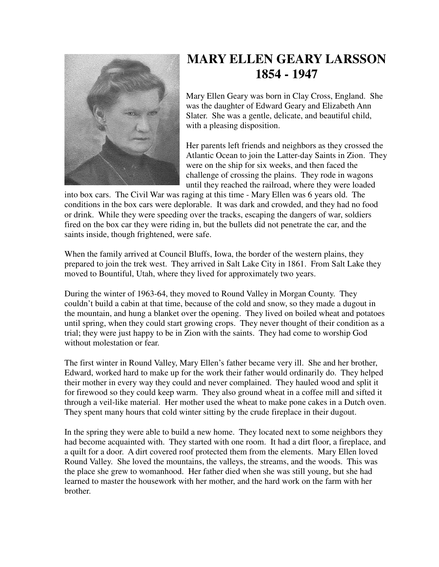

## **MARY ELLEN GEARY LARSSON 1854 - 1947**

Mary Ellen Geary was born in Clay Cross, England. She was the daughter of Edward Geary and Elizabeth Ann Slater. She was a gentle, delicate, and beautiful child, with a pleasing disposition.

Her parents left friends and neighbors as they crossed the Atlantic Ocean to join the Latter-day Saints in Zion. They were on the ship for six weeks, and then faced the challenge of crossing the plains. They rode in wagons until they reached the railroad, where they were loaded

into box cars. The Civil War was raging at this time - Mary Ellen was 6 years old. The conditions in the box cars were deplorable. It was dark and crowded, and they had no food or drink. While they were speeding over the tracks, escaping the dangers of war, soldiers fired on the box car they were riding in, but the bullets did not penetrate the car, and the saints inside, though frightened, were safe.

When the family arrived at Council Bluffs, Iowa, the border of the western plains, they prepared to join the trek west. They arrived in Salt Lake City in 1861. From Salt Lake they moved to Bountiful, Utah, where they lived for approximately two years.

During the winter of 1963-64, they moved to Round Valley in Morgan County. They couldn't build a cabin at that time, because of the cold and snow, so they made a dugout in the mountain, and hung a blanket over the opening. They lived on boiled wheat and potatoes until spring, when they could start growing crops. They never thought of their condition as a trial; they were just happy to be in Zion with the saints. They had come to worship God without molestation or fear.

The first winter in Round Valley, Mary Ellen's father became very ill. She and her brother, Edward, worked hard to make up for the work their father would ordinarily do. They helped their mother in every way they could and never complained. They hauled wood and split it for firewood so they could keep warm. They also ground wheat in a coffee mill and sifted it through a veil-like material. Her mother used the wheat to make pone cakes in a Dutch oven. They spent many hours that cold winter sitting by the crude fireplace in their dugout.

In the spring they were able to build a new home. They located next to some neighbors they had become acquainted with. They started with one room. It had a dirt floor, a fireplace, and a quilt for a door. A dirt covered roof protected them from the elements. Mary Ellen loved Round Valley. She loved the mountains, the valleys, the streams, and the woods. This was the place she grew to womanhood. Her father died when she was still young, but she had learned to master the housework with her mother, and the hard work on the farm with her brother.